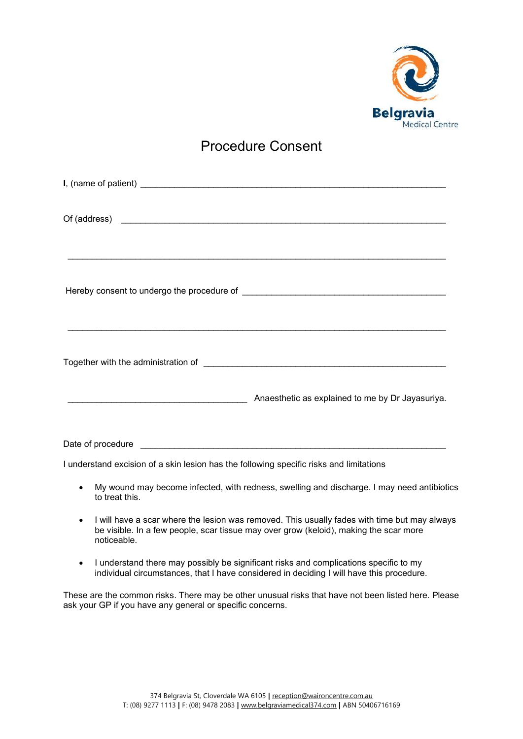

## Procedure Consent

| Anaesthetic as explained to me by Dr Jayasuriya. |
|--------------------------------------------------|

I understand excision of a skin lesion has the following specific risks and limitations

- My wound may become infected, with redness, swelling and discharge. I may need antibiotics to treat this.
- I will have a scar where the lesion was removed. This usually fades with time but may always be visible. In a few people, scar tissue may over grow (keloid), making the scar more noticeable.
- I understand there may possibly be significant risks and complications specific to my individual circumstances, that I have considered in deciding I will have this procedure.

These are the common risks. There may be other unusual risks that have not been listed here. Please ask your GP if you have any general or specific concerns.